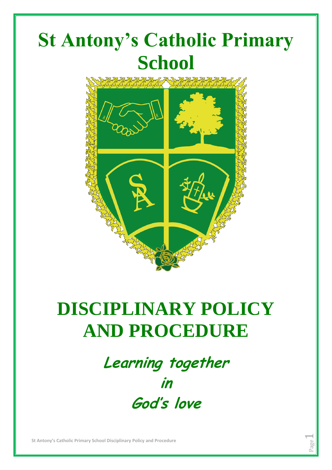

# **DISCIPLINARY POLICY AND PROCEDURE**

**Learning together in God's love**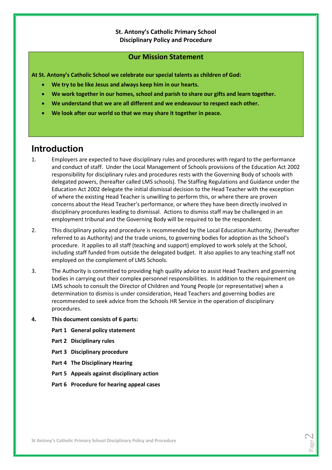### **St. Antony's Catholic Primary School Disciplinary Policy and Procedure**

### **Our Mission Statement**

**At St. Antony's Catholic School we celebrate our special talents as children of God:**

- **We try to be like Jesus and always keep him in our hearts.**
- **We work together in our homes, school and parish to share our gifts and learn together.**
- **We understand that we are all different and we endeavour to respect each other.**
- **We look after our world so that we may share it together in peace.**

### **Introduction**

- 1. Employers are expected to have disciplinary rules and procedures with regard to the performance and conduct of staff. Under the Local Management of Schools provisions of the Education Act 2002 responsibility for disciplinary rules and procedures rests with the Governing Body of schools with delegated powers, (hereafter called LMS schools). The Staffing Regulations and Guidance under the Education Act 2002 delegate the initial dismissal decision to the Head Teacher with the exception of where the existing Head Teacher is unwilling to perform this, or where there are proven concerns about the Head Teacher's performance, or where they have been directly involved in disciplinary procedures leading to dismissal. Actions to dismiss staff may be challenged in an employment tribunal and the Governing Body will be required to be the respondent.
- 2. This disciplinary policy and procedure is recommended by the Local Education Authority, (hereafter referred to as Authority) and the trade unions, to governing bodies for adoption as the School's procedure. It applies to all staff (teaching and support) employed to work solely at the School, including staff funded from outside the delegated budget. It also applies to any teaching staff not employed on the complement of LMS Schools.
- 3. The Authority is committed to providing high quality advice to assist Head Teachers and governing bodies in carrying out their complex personnel responsibilities. In addition to the requirement on LMS schools to consult the Director of Children and Young People (or representative) when a determination to dismiss is under consideration, Head Teachers and governing bodies are recommended to seek advice from the Schools HR Service in the operation of disciplinary procedures.
- **4. This document consists of 6 parts:**
	- **Part 1 General policy statement**
	- **Part 2 Disciplinary rules**
	- **Part 3 Disciplinary procedure**
	- **Part 4 The Disciplinary Hearing**
	- **Part 5 Appeals against disciplinary action**
	- **Part 6 Procedure for hearing appeal cases**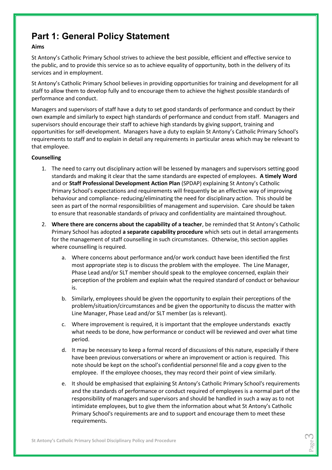## **Part 1: General Policy Statement**

### **Aims**

St Antony's Catholic Primary School strives to achieve the best possible, efficient and effective service to the public, and to provide this service so as to achieve equality of opportunity, both in the delivery of its services and in employment.

St Antony's Catholic Primary School believes in providing opportunities for training and development for all staff to allow them to develop fully and to encourage them to achieve the highest possible standards of performance and conduct.

Managers and supervisors of staff have a duty to set good standards of performance and conduct by their own example and similarly to expect high standards of performance and conduct from staff. Managers and supervisors should encourage their staff to achieve high standards by giving support, training and opportunities for self-development. Managers have a duty to explain St Antony's Catholic Primary School's requirements to staff and to explain in detail any requirements in particular areas which may be relevant to that employee.

### **Counselling**

- 1. The need to carry out disciplinary action will be lessened by managers and supervisors setting good standards and making it clear that the same standards are expected of employees. **A timely Word** and or **Staff Professional Development Action Plan** (SPDAP) explaining St Antony's Catholic Primary School's expectations and requirements will frequently be an effective way of improving behaviour and compliance- reducing/eliminating the need for disciplinary action. This should be seen as part of the normal responsibilities of management and supervision. Care should be taken to ensure that reasonable standards of privacy and confidentiality are maintained throughout.
- 2. **Where there are concerns about the capability of a teacher**, be reminded that St Antony's Catholic Primary School has adopted **a separate capability procedure** which sets out in detail arrangements for the management of staff counselling in such circumstances. Otherwise, this section applies where counselling is required.
	- a. Where concerns about performance and/or work conduct have been identified the first most appropriate step is to discuss the problem with the employee. The Line Manager, Phase Lead and/or SLT member should speak to the employee concerned, explain their perception of the problem and explain what the required standard of conduct or behaviour is.
	- b. Similarly, employees should be given the opportunity to explain their perceptions of the problem/situation/circumstances and be given the opportunity to discuss the matter with Line Manager, Phase Lead and/or SLT member (as is relevant).
	- c. Where improvement is required, it is important that the employee understands exactly what needs to be done, how performance or conduct will be reviewed and over what time period.
	- d. It may be necessary to keep a formal record of discussions of this nature, especially if there have been previous conversations or where an improvement or action is required. This note should be kept on the school's confidential personnel file and a copy given to the employee. If the employee chooses, they may record their point of view similarly.
	- e. It should be emphasised that explaining St Antony's Catholic Primary School's requirements and the standards of performance or conduct required of employees is a normal part of the responsibility of managers and supervisors and should be handled in such a way as to not intimidate employees, but to give them the information about what St Antony's Catholic Primary School's requirements are and to support and encourage them to meet these requirements.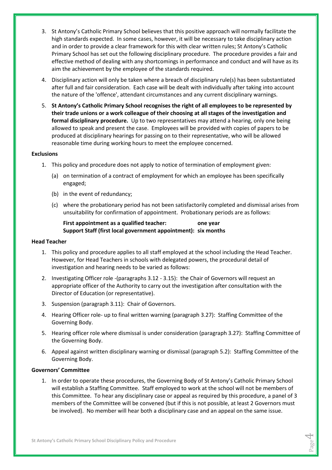- 3. St Antony's Catholic Primary School believes that this positive approach will normally facilitate the high standards expected. In some cases, however, it will be necessary to take disciplinary action and in order to provide a clear framework for this with clear written rules; St Antony's Catholic Primary School has set out the following disciplinary procedure. The procedure provides a fair and effective method of dealing with any shortcomings in performance and conduct and will have as its aim the achievement by the employee of the standards required.
- 4. Disciplinary action will only be taken where a breach of disciplinary rule(s) has been substantiated after full and fair consideration. Each case will be dealt with individually after taking into account the nature of the 'offence', attendant circumstances and any current disciplinary warnings.
- 5. **St Antony's Catholic Primary School recognises the right of all employees to be represented by their trade unions or a work colleague of their choosing at all stages of the investigation and formal disciplinary procedure.** Up to two representatives may attend a hearing, only one being allowed to speak and present the case. Employees will be provided with copies of papers to be produced at disciplinary hearings for passing on to their representative, who will be allowed reasonable time during working hours to meet the employee concerned.

### **Exclusions**

- 1. This policy and procedure does not apply to notice of termination of employment given:
	- (a) on termination of a contract of employment for which an employee has been specifically engaged;
	- (b) in the event of redundancy;
	- (c) where the probationary period has not been satisfactorily completed and dismissal arises from unsuitability for confirmation of appointment. Probationary periods are as follows:

### **First appointment as a qualified teacher: one year Support Staff (first local government appointment): six months**

### **Head Teacher**

- 1. This policy and procedure applies to all staff employed at the school including the Head Teacher. However, for Head Teachers in schools with delegated powers, the procedural detail of investigation and hearing needs to be varied as follows:
- 2. Investigating Officer role -(paragraphs 3.12 3.15): the Chair of Governors will request an appropriate officer of the Authority to carry out the investigation after consultation with the Director of Education (or representative).
- 3. Suspension (paragraph 3.11): Chair of Governors.
- 4. Hearing Officer role- up to final written warning (paragraph 3.27): Staffing Committee of the Governing Body.
- 5. Hearing officer role where dismissal is under consideration (paragraph 3.27): Staffing Committee of the Governing Body.
- 6. Appeal against written disciplinary warning or dismissal (paragraph 5.2): Staffing Committee of the Governing Body.

### **Governors' Committee**

1. In order to operate these procedures, the Governing Body of St Antony's Catholic Primary School will establish a Staffing Committee. Staff employed to work at the school will not be members of this Committee. To hear any disciplinary case or appeal as required by this procedure, a panel of 3 members of the Committee will be convened (but if this is not possible, at least 2 Governors must be involved). No member will hear both a disciplinary case and an appeal on the same issue.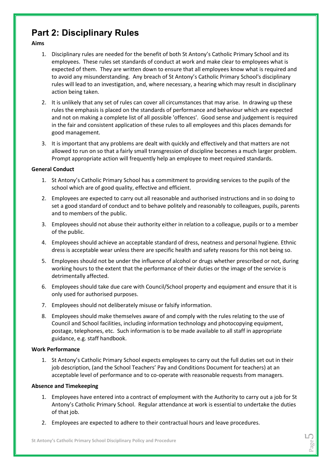### **Part 2: Disciplinary Rules**

### **Aims**

- 1. Disciplinary rules are needed for the benefit of both St Antony's Catholic Primary School and its employees. These rules set standards of conduct at work and make clear to employees what is expected of them. They are written down to ensure that all employees know what is required and to avoid any misunderstanding. Any breach of St Antony's Catholic Primary School's disciplinary rules will lead to an investigation, and, where necessary, a hearing which may result in disciplinary action being taken.
- 2. It is unlikely that any set of rules can cover all circumstances that may arise. In drawing up these rules the emphasis is placed on the standards of performance and behaviour which are expected and not on making a complete list of all possible 'offences'. Good sense and judgement is required in the fair and consistent application of these rules to all employees and this places demands for good management.
- 3. It is important that any problems are dealt with quickly and effectively and that matters are not allowed to run on so that a fairly small transgression of discipline becomes a much larger problem. Prompt appropriate action will frequently help an employee to meet required standards.

### **General Conduct**

- 1. St Antony's Catholic Primary School has a commitment to providing services to the pupils of the school which are of good quality, effective and efficient.
- 2. Employees are expected to carry out all reasonable and authorised instructions and in so doing to set a good standard of conduct and to behave politely and reasonably to colleagues, pupils, parents and to members of the public.
- 3. Employees should not abuse their authority either in relation to a colleague, pupils or to a member of the public.
- 4. Employees should achieve an acceptable standard of dress, neatness and personal hygiene. Ethnic dress is acceptable wear unless there are specific health and safety reasons for this not being so.
- 5. Employees should not be under the influence of alcohol or drugs whether prescribed or not, during working hours to the extent that the performance of their duties or the image of the service is detrimentally affected.
- 6. Employees should take due care with Council/School property and equipment and ensure that it is only used for authorised purposes.
- 7. Employees should not deliberately misuse or falsify information.
- 8. Employees should make themselves aware of and comply with the rules relating to the use of Council and School facilities, including information technology and photocopying equipment, postage, telephones, etc. Such information is to be made available to all staff in appropriate guidance, e.g. staff handbook.

### **Work Performance**

1. St Antony's Catholic Primary School expects employees to carry out the full duties set out in their job description, (and the School Teachers' Pay and Conditions Document for teachers) at an acceptable level of performance and to co-operate with reasonable requests from managers.

### **Absence and Timekeeping**

- 1. Employees have entered into a contract of employment with the Authority to carry out a job for St Antony's Catholic Primary School. Regular attendance at work is essential to undertake the duties of that job.
- 2. Employees are expected to adhere to their contractual hours and leave procedures.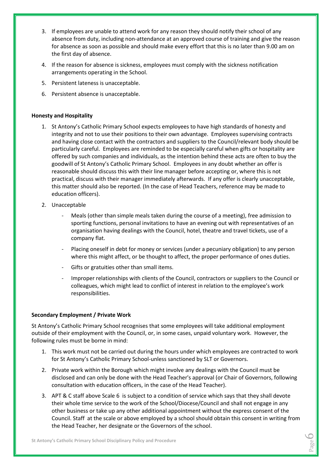- 3. If employees are unable to attend work for any reason they should notify their school of any absence from duty, including non-attendance at an approved course of training and give the reason for absence as soon as possible and should make every effort that this is no later than 9.00 am on the first day of absence.
- 4. If the reason for absence is sickness, employees must comply with the sickness notification arrangements operating in the School.
- 5. Persistent lateness is unacceptable.
- 6. Persistent absence is unacceptable.

### **Honesty and Hospitality**

- 1. St Antony's Catholic Primary School expects employees to have high standards of honesty and integrity and not to use their positions to their own advantage. Employees supervising contracts and having close contact with the contractors and suppliers to the Council/relevant body should be particularly careful. Employees are reminded to be especially careful when gifts or hospitality are offered by such companies and individuals, as the intention behind these acts are often to buy the goodwill of St Antony's Catholic Primary School. Employees in any doubt whether an offer is reasonable should discuss this with their line manager before accepting or, where this is not practical, discuss with their manager immediately afterwards. If any offer is clearly unacceptable, this matter should also be reported. (In the case of Head Teachers, reference may be made to education officers).
- 2. Unacceptable
	- Meals (other than simple meals taken during the course of a meeting), free admission to sporting functions, personal invitations to have an evening out with representatives of an organisation having dealings with the Council, hotel, theatre and travel tickets, use of a company flat.
	- Placing oneself in debt for money or services (under a pecuniary obligation) to any person where this might affect, or be thought to affect, the proper performance of ones duties.
	- Gifts or gratuities other than small items.
	- Improper relationships with clients of the Council, contractors or suppliers to the Council or colleagues, which might lead to conflict of interest in relation to the employee's work responsibilities.

### **Secondary Employment / Private Work**

St Antony's Catholic Primary School recognises that some employees will take additional employment outside of their employment with the Council, or, in some cases, unpaid voluntary work. However, the following rules must be borne in mind:

- 1. This work must not be carried out during the hours under which employees are contracted to work for St Antony's Catholic Primary School-unless sanctioned by SLT or Governors.
- 2. Private work within the Borough which might involve any dealings with the Council must be disclosed and can only be done with the Head Teacher's approval (or Chair of Governors, following consultation with education officers, in the case of the Head Teacher).
- 3. APT & C staff above Scale 6 is subject to a condition of service which says that they shall devote their whole time service to the work of the School/Diocese/Council and shall not engage in any other business or take up any other additional appointment without the express consent of the Council. Staff at the scale or above employed by a school should obtain this consent in writing from the Head Teacher, her designate or the Governors of the school.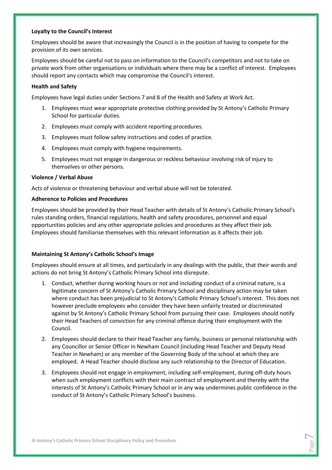### **Loyalty to the Council's Interest**

Employees should be aware that increasingly the Council is in the position of having to compete for the provision of its own services.

Employees should be careful not to pass on information to the Council's competitors and not to take on private work from other organisations or individuals where there may be a conflict of interest. Employees should report any contacts which may compromise the Council's interest.

### **Health and Safety**

Employees have legal duties under Sections 7 and 8 of the Health and Safety at Work Act.

- 1. Employees must wear appropriate protective clothing provided by St Antony's Catholic Primary School for particular duties.
- 2. Employees must comply with accident reporting procedures.
- 3. Employees must follow safety instructions and codes of practice.
- 4. Employees must comply with hygiene requirements.
- 5. Employees must not engage in dangerous or reckless behaviour involving risk of injury to themselves or other persons.

### **Violence / Verbal Abuse**

Acts of violence or threatening behaviour and verbal abuse will not be tolerated.

### **Adherence to Policies and Procedures**

Employees should be provided by their Head Teacher with details of St Antony's Catholic Primary School's rules standing orders, financial regulations, health and safety procedures, personnel and equal opportunities policies and any other appropriate policies and procedures as they affect their job. Employees should familiarise themselves with this relevant information as it affects their job.

### **Maintaining St Antony's Catholic School's Image**

Employees should ensure at all times, and particularly in any dealings with the public, that their words and actions do not bring St Antony's Catholic Primary School into disrepute.

- 1. Conduct, whether during working hours or not and including conduct of a criminal nature, is a legitimate concern of St Antony's Catholic Primary School and disciplinary action may be taken where conduct has been prejudicial to St Antony's Catholic Primary School's interest. This does not however preclude employees who consider they have been unfairly treated or discriminated against by St Antony's Catholic Primary School from pursuing their case. Employees should notify their Head Teachers of conviction for any criminal offence during their employment with the Council.
- 2. Employees should declare to their Head Teacher any family, business or personal relationship with any Councillor or Senior Officer in Newham Council (including Head Teacher and Deputy Head Teacher in Newham) or any member of the Governing Body of the school at which they are employed. A Head Teacher should disclose any such relationship to the Director of Education.
- 3. Employees should not engage in employment, including self-employment, during off-duty hours when such employment conflicts with their main contract of employment and thereby with the interests of St Antony's Catholic Primary School or in any way undermines public confidence in the conduct of St Antony's Catholic Primary School's business.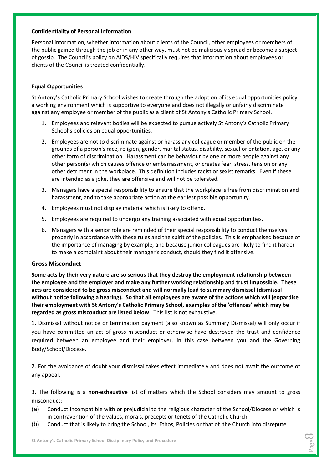### **Confidentiality of Personal Information**

Personal information, whether information about clients of the Council, other employees or members of the public gained through the job or in any other way, must not be maliciously spread or become a subject of gossip. The Council's policy on AIDS/HIV specifically requires that information about employees or clients of the Council is treated confidentially.

### **Equal Opportunities**

St Antony's Catholic Primary School wishes to create through the adoption of its equal opportunities policy a working environment which is supportive to everyone and does not illegally or unfairly discriminate against any employee or member of the public as a client of St Antony's Catholic Primary School.

- 1. Employees and relevant bodies will be expected to pursue actively St Antony's Catholic Primary School's policies on equal opportunities.
- 2. Employees are not to discriminate against or harass any colleague or member of the public on the grounds of a person's race, religion, gender, marital status, disability, sexual orientation, age, or any other form of discrimination. Harassment can be behaviour by one or more people against any other person(s) which causes offence or embarrassment, or creates fear, stress, tension or any other detriment in the workplace. This definition includes racist or sexist remarks. Even if these are intended as a joke, they are offensive and will not be tolerated.
- 3. Managers have a special responsibility to ensure that the workplace is free from discrimination and harassment, and to take appropriate action at the earliest possible opportunity.
- 4. Employees must not display material which is likely to offend.
- 5. Employees are required to undergo any training associated with equal opportunities.
- 6. Managers with a senior role are reminded of their special responsibility to conduct themselves properly in accordance with these rules and the spirit of the policies. This is emphasised because of the importance of managing by example, and because junior colleagues are likely to find it harder to make a complaint about their manager's conduct, should they find it offensive.

### **Gross Misconduct**

**Some acts by their very nature are so serious that they destroy the employment relationship between the employee and the employer and make any further working relationship and trust impossible. These acts are considered to be gross misconduct and will normally lead to summary dismissal (dismissal without notice following a hearing). So that all employees are aware of the actions which will jeopardise their employment with St Antony's Catholic Primary School, examples of the 'offences' which may be regarded as gross misconduct are listed below**. This list is not exhaustive.

1. Dismissal without notice or termination payment (also known as Summary Dismissal) will only occur if you have committed an act of gross misconduct or otherwise have destroyed the trust and confidence required between an employee and their employer, in this case between you and the Governing Body/School/Diocese.

2. For the avoidance of doubt your dismissal takes effect immediately and does not await the outcome of any appeal.

3. The following is a **non-exhaustive** list of matters which the School considers may amount to gross misconduct:

- (a) Conduct incompatible with or prejudicial to the religious character of the School/Diocese or which is in contravention of the values, morals, precepts or tenets of the Catholic Church.
- (b) Conduct that is likely to bring the School, its Ethos, Policies or that of the Church into disrepute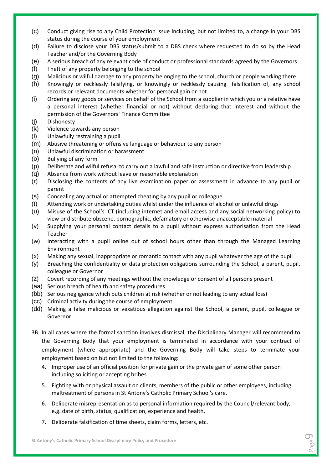- (c) Conduct giving rise to any Child Protection issue including, but not limited to, a change in your DBS status during the course of your employment
- (d) Failure to disclose your DBS status/submit to a DBS check where requested to do so by the Head Teacher and/or the Governing Body
- (e) A serious breach of any relevant code of conduct or professional standards agreed by the Governors
- (f) Theft of any property belonging to the school
- (g) Malicious or wilful damage to any property belonging to the school, church or people working there
- (h) Knowingly or recklessly falsifying, or knowingly or recklessly causing falsification of, any school records or relevant documents whether for personal gain or not
- (i) Ordering any goods or services on behalf of the School from a supplier in which you or a relative have a personal interest (whether financial or not) without declaring that interest and without the permission of the Governors' Finance Committee
- (j) Dishonesty
- (k) Violence towards any person
- (l) Unlawfully restraining a pupil
- (m) Abusive threatening or offensive language or behaviour to any person
- (n) Unlawful discrimination or harassment
- (o) Bullying of any form
- (p) Deliberate and wilful refusal to carry out a lawful and safe instruction or directive from leadership
- (q) Absence from work without leave or reasonable explanation
- (r) Disclosing the contents of any live examination paper or assessment in advance to any pupil or parent
- (s) Concealing any actual or attempted cheating by any pupil or colleague
- (t) Attending work or undertaking duties whilst under the influence of alcohol or unlawful drugs
- (u) Misuse of the School's ICT (including internet and email access and any social networking policy) to view or distribute obscene, pornographic, defamatory or otherwise unacceptable material
- (v) Supplying your personal contact details to a pupil without express authorisation from the Head Teacher
- (w) Interacting with a pupil online out of school hours other than through the Managed Learning Environment
- (x) Making any sexual, inappropriate or romantic contact with any pupil whatever the age of the pupil
- (y) Breaching the confidentiality or data protection obligations surrounding the School, a parent, pupil, colleague or Governor
- (z) Covert recording of any meetings without the knowledge or consent of all persons present
- (aa) Serious breach of health and safety procedures
- (bb) Serious negligence which puts children at risk (whether or not leading to any actual loss)
- (cc) Criminal activity during the course of employment
- (dd) Making a false malicious or vexatious allegation against the School, a parent, pupil, colleague or Governor
- 3B. In all cases where the formal sanction involves dismissal, the Disciplinary Manager will recommend to the Governing Body that your employment is terminated in accordance with your contract of employment (where appropriate) and the Governing Body will take steps to terminate your employment based on but not limited to the following:
	- 4. Improper use of an official position for private gain or the private gain of some other person including soliciting or accepting bribes.
	- 5. Fighting with or physical assault on clients, members of the public or other employees, including maltreatment of persons in St Antony's Catholic Primary School's care.
	- 6. Deliberate misrepresentation as to personal information required by the Council/relevant body, e.g. date of birth, status, qualification, experience and health.
	- 7. Deliberate falsification of time sheets, claim forms, letters, etc.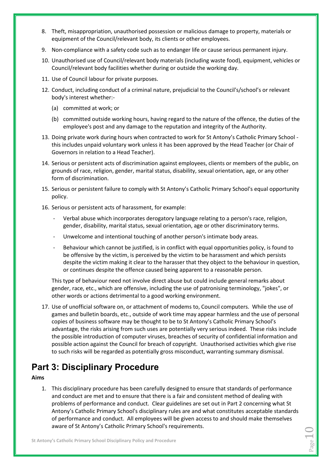- 8. Theft, misappropriation, unauthorised possession or malicious damage to property, materials or equipment of the Council/relevant body, its clients or other employees.
- 9. Non-compliance with a safety code such as to endanger life or cause serious permanent injury.
- 10. Unauthorised use of Council/relevant body materials (including waste food), equipment, vehicles or Council/relevant body facilities whether during or outside the working day.
- 11. Use of Council labour for private purposes.
- 12. Conduct, including conduct of a criminal nature, prejudicial to the Council's/school's or relevant body's interest whether:-
	- (a) committed at work; or
	- (b) committed outside working hours, having regard to the nature of the offence, the duties of the employee's post and any damage to the reputation and integrity of the Authority.
- 13. Doing private work during hours when contracted to work for St Antony's Catholic Primary School this includes unpaid voluntary work unless it has been approved by the Head Teacher (or Chair of Governors in relation to a Head Teacher).
- 14. Serious or persistent acts of discrimination against employees, clients or members of the public, on grounds of race, religion, gender, marital status, disability, sexual orientation, age, or any other form of discrimination.
- 15. Serious or persistent failure to comply with St Antony's Catholic Primary School's equal opportunity policy.
- 16. Serious or persistent acts of harassment, for example:
	- Verbal abuse which incorporates derogatory language relating to a person's race, religion, gender, disability, marital status, sexual orientation, age or other discriminatory terms.
	- Unwelcome and intentional touching of another person's intimate body areas.
	- Behaviour which cannot be justified, is in conflict with equal opportunities policy, is found to be offensive by the victim, is perceived by the victim to be harassment and which persists despite the victim making it clear to the harasser that they object to the behaviour in question, or continues despite the offence caused being apparent to a reasonable person.

This type of behaviour need not involve direct abuse but could include general remarks about gender, race, etc., which are offensive, including the use of patronising terminology, "jokes", or other words or actions detrimental to a good working environment.

17. Use of unofficial software on, or attachment of modems to, Council computers. While the use of games and bulletin boards, etc., outside of work time may appear harmless and the use of personal copies of business software may be thought to be to St Antony's Catholic Primary School's advantage, the risks arising from such uses are potentially very serious indeed. These risks include the possible introduction of computer viruses, breaches of security of confidential information and possible action against the Council for breach of copyright. Unauthorised activities which give rise to such risks will be regarded as potentially gross misconduct, warranting summary dismissal.

## **Part 3: Disciplinary Procedure**

### **Aims**

1. This disciplinary procedure has been carefully designed to ensure that standards of performance and conduct are met and to ensure that there is a fair and consistent method of dealing with problems of performance and conduct. Clear guidelines are set out in Part 2 concerning what St Antony's Catholic Primary School's disciplinary rules are and what constitutes acceptable standards of performance and conduct. All employees will be given access to and should make themselves aware of St Antony's Catholic Primary School's requirements.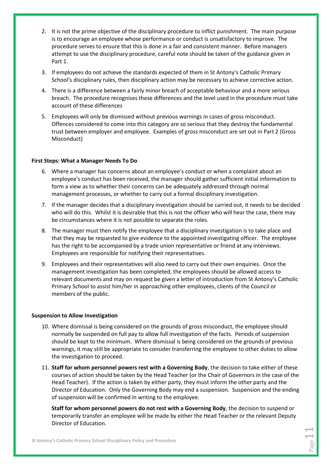- 2. It is not the prime objective of the disciplinary procedure to inflict punishment. The main purpose is to encourage an employee whose performance or conduct is unsatisfactory to improve. The procedure serves to ensure that this is done in a fair and consistent manner. Before managers attempt to use the disciplinary procedure, careful note should be taken of the guidance given in Part 1.
- 3. If employees do not achieve the standards expected of them in St Antony's Catholic Primary School's disciplinary rules, then disciplinary action may be necessary to achieve corrective action.
- 4. There is a difference between a fairly minor breach of acceptable behaviour and a more serious breach. The procedure recognises these differences and the level used in the procedure must take account of these differences
- 5. Employees will only be dismissed without previous warnings in cases of gross misconduct. Offences considered to come into this category are so serious that they destroy the fundamental trust between employer and employee. Examples of gross misconduct are set out in Part 2 (Gross Misconduct)

### **First Steps: What a Manager Needs To Do**

- 6. Where a manager has concerns about an employee's conduct or when a complaint about an employee's conduct has been received, the manager should gather sufficient initial information to form a view as to whether their concerns can be adequately addressed through normal management processes, or whether to carry out a formal disciplinary investigation.
- 7. If the manager decides that a disciplinary investigation should be carried out, it needs to be decided who will do this. Whilst it is desirable that this is not the officer who will hear the case, there may be circumstances where it is not possible to separate the roles.
- 8. The manager must then notify the employee that a disciplinary investigation is to take place and that they may be requested to give evidence to the appointed investigating officer. The employee has the right to be accompanied by a trade union representative or friend at any interviews. Employees are responsible for notifying their representatives.
- 9. Employees and their representatives will also need to carry out their own enquiries. Once the management investigation has been completed, the employees should be allowed access to relevant documents and may on request be given a letter of introduction from St Antony's Catholic Primary School to assist him/her in approaching other employees, clients of the Council or members of the public.

### **Suspension to Allow Investigation**

- 10. Where dismissal is being considered on the grounds of gross misconduct, the employee should normally be suspended on full pay to allow full investigation of the facts. Periods of suspension should be kept to the minimum. Where dismissal is being considered on the grounds of previous warnings, it may still be appropriate to consider transferring the employee to other duties to allow the investigation to proceed.
- 11. **Staff for whom personnel powers rest with a Governing Body**, the decision to take either of these courses of action should be taken by the Head Teacher (or the Chair of Governors in the case of the Head Teacher). If the action is taken by either party, they must inform the other party and the Director of Education. Only the Governing Body may end a suspension. Suspension and the ending of suspension will be confirmed in writing to the employee.

**Staff for whom personnel powers do not rest with a Governing Body**, the decision to suspend or temporarily transfer an employee will be made by either the Head Teacher or the relevant Deputy Director of Education.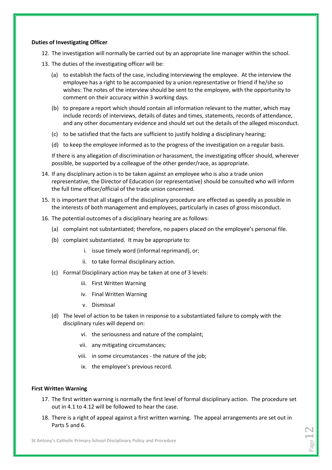#### **Duties of Investigating Officer**

- 12. The investigation will normally be carried out by an appropriate line manager within the school.
- 13. The duties of the investigating officer will be:
	- (a) to establish the facts of the case, including interviewing the employee. At the interview the employee has a right to be accompanied by a union representative or friend if he/she so wishes: The notes of the interview should be sent to the employee, with the opportunity to comment on their accuracy within 3 working days.
	- (b) to prepare a report which should contain all information relevant to the matter, which may include records of interviews, details of dates and times, statements, records of attendance, and any other documentary evidence and should set out the details of the alleged misconduct.
	- (c) to be satisfied that the facts are sufficient to justify holding a disciplinary hearing;
	- (d) to keep the employee informed as to the progress of the investigation on a regular basis.

If there is any allegation of discrimination or harassment, the investigating officer should, wherever possible, be supported by a colleague of the other gender/race, as appropriate.

- 14. If any disciplinary action is to be taken against an employee who is also a trade union representative, the Director of Education (or representative) should be consulted who will inform the full time officer/official of the trade union concerned.
- 15. It is important that all stages of the disciplinary procedure are effected as speedily as possible in the interests of both management and employees, particularly in cases of gross misconduct.
- 16. The potential outcomes of a disciplinary hearing are as follows:
	- (a) complaint not substantiated; therefore, no papers placed on the employee's personal file.
	- (b) complaint substantiated. It may be appropriate to:
		- i. issue timely word (informal reprimand), or;
		- ii. to take formal disciplinary action.
	- (c) Formal Disciplinary action may be taken at one of 3 levels:
		- iii. First Written Warning
		- iv. Final Written Warning
		- v. Dismissal
	- (d) The level of action to be taken in response to a substantiated failure to comply with the disciplinary rules will depend on:
		- vi. the seriousness and nature of the complaint;
		- vii. any mitigating circumstances;
		- viii. in some circumstances the nature of the job;
		- ix. the employee's previous record.

#### **First Written Warning**

- 17. The first written warning is normally the first level of formal disciplinary action. The procedure set out in 4.1 to 4.12 will be followed to hear the case.
- 18. There is a right of appeal against a first written warning. The appeal arrangements are set out in Parts 5 and 6.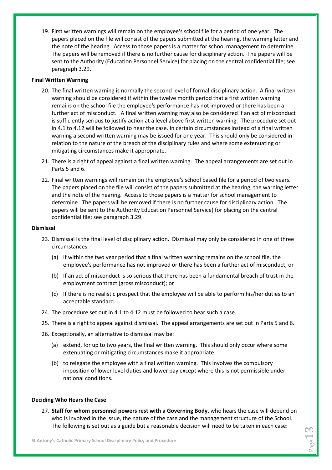19. First written warnings will remain on the employee's school file for a period of one year. The papers placed on the file will consist of the papers submitted at the hearing, the warning letter and the note of the hearing. Access to those papers is a matter for school management to determine. The papers will be removed if there is no further cause for disciplinary action. The papers will be sent to the Authority (Education Personnel Service) for placing on the central confidential file; see paragraph 3.29.

### **Final Written Warning**

- 20. The final written warning is normally the second level of formal disciplinary action. A final written warning should be considered if within the twelve month period that a first written warning remains on the school file the employee's performance has not improved or there has been a further act of misconduct. A final written warning may also be considered if an act of misconduct is sufficiently serious to justify action at a level above first written warning. The procedure set out in 4.1 to 4.12 will be followed to hear the case. In certain circumstances instead of a final written warning a second written warning may be issued for one year. This should only be considered in relation to the nature of the breach of the disciplinary rules and where some extenuating or mitigating circumstances make it appropriate.
- 21. There is a right of appeal against a final written warning. The appeal arrangements are set out in Parts 5 and 6.
- 22. Final written warnings will remain on the employee's school based file for a period of two years. The papers placed on the file will consist of the papers submitted at the hearing, the warning letter and the note of the hearing. Access to those papers is a matter for school management to determine. The papers will be removed if there is no further cause for disciplinary action. The papers will be sent to the Authority Education Personnel Service) for placing on the central confidential file; see paragraph 3.29.

### **Dismissal**

- 23. Dismissal is the final level of disciplinary action. Dismissal may only be considered in one of three circumstances:
	- (a) If within the two year period that a final written warning remains on the school file, the employee's performance has not improved or there has been a further act of misconduct; or
	- (b) If an act of misconduct is so serious that there has been a fundamental breach of trust in the employment contract (gross misconduct); or
	- (c) If there is no realistic prospect that the employee will be able to perform his/her duties to an acceptable standard.
- 24. The procedure set out in 4.1 to 4.12 must be followed to hear such a case.
- 25. There is a right to appeal against dismissal. The appeal arrangements are set out in Parts 5 and 6.
- 26. Exceptionally, an alternative to dismissal may be:
	- (a) extend, for up to two years, the final written warning. This should only occur where some extenuating or mitigating circumstances make it appropriate.
	- (b) to relegate the employee with a final written warning. This involves the compulsory imposition of lower level duties and lower pay except where this is not permissible under national conditions.

### **Deciding Who Hears the Case**

27. **Staff for whom personnel powers rest with a Governing Body**, who hears the case will depend on who is involved in the issue, the nature of the case and the management structure of the School. The following is set out as a guide but a reasonable decision will need to be taken in each case: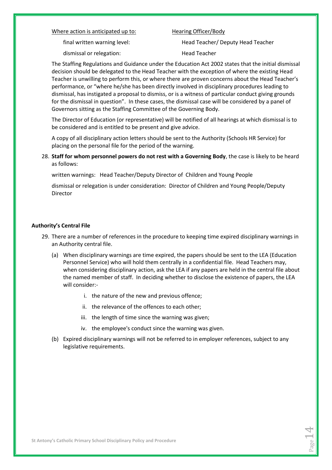#### Where action is anticipated up to: Hearing Officer/Body

dismissal or relegation: Head Teacher

final written warning level: Head Teacher/ Deputy Head Teacher

The Staffing Regulations and Guidance under the Education Act 2002 states that the initial dismissal decision should be delegated to the Head Teacher with the exception of where the existing Head Teacher is unwilling to perform this, or where there are proven concerns about the Head Teacher's performance, or "where he/she has been directly involved in disciplinary procedures leading to dismissal, has instigated a proposal to dismiss, or is a witness of particular conduct giving grounds for the dismissal in question". In these cases, the dismissal case will be considered by a panel of Governors sitting as the Staffing Committee of the Governing Body.

The Director of Education (or representative) will be notified of all hearings at which dismissal is to be considered and is entitled to be present and give advice.

A copy of all disciplinary action letters should be sent to the Authority (Schools HR Service) for placing on the personal file for the period of the warning.

28. **Staff for whom personnel powers do not rest with a Governing Body**, the case is likely to be heard as follows:

written warnings: Head Teacher/Deputy Director of Children and Young People

dismissal or relegation is under consideration: Director of Children and Young People/Deputy Director

### **Authority's Central File**

- 29. There are a number of references in the procedure to keeping time expired disciplinary warnings in an Authority central file.
	- (a) When disciplinary warnings are time expired, the papers should be sent to the LEA (Education Personnel Service) who will hold them centrally in a confidential file. Head Teachers may, when considering disciplinary action, ask the LEA if any papers are held in the central file about the named member of staff. In deciding whether to disclose the existence of papers, the LEA will consider:
		- i. the nature of the new and previous offence;
		- ii. the relevance of the offences to each other;
		- iii. the length of time since the warning was given;
		- iv. the employee's conduct since the warning was given.
	- (b) Expired disciplinary warnings will not be referred to in employer references, subject to any legislative requirements.

 $P_{{\rm age}}14$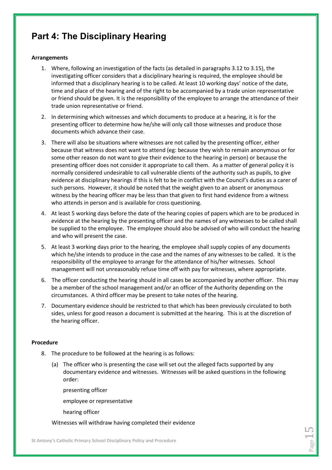### **Part 4: The Disciplinary Hearing**

### **Arrangements**

- 1. Where, following an investigation of the facts (as detailed in paragraphs 3.12 to 3.15), the investigating officer considers that a disciplinary hearing is required, the employee should be informed that a disciplinary hearing is to be called. At least 10 working days' notice of the date, time and place of the hearing and of the right to be accompanied by a trade union representative or friend should be given. It is the responsibility of the employee to arrange the attendance of their trade union representative or friend.
- 2. In determining which witnesses and which documents to produce at a hearing, it is for the presenting officer to determine how he/she will only call those witnesses and produce those documents which advance their case.
- 3. There will also be situations where witnesses are not called by the presenting officer, either because that witness does not want to attend (eg: because they wish to remain anonymous or for some other reason do not want to give their evidence to the hearing in person) or because the presenting officer does not consider it appropriate to call them. As a matter of general policy it is normally considered undesirable to call vulnerable clients of the authority such as pupils, to give evidence at disciplinary hearings if this is felt to be in conflict with the Council's duties as a carer of such persons. However, it should be noted that the weight given to an absent or anonymous witness by the hearing officer may be less than that given to first hand evidence from a witness who attends in person and is available for cross questioning.
- 4. At least 5 working days before the date of the hearing copies of papers which are to be produced in evidence at the hearing by the presenting officer and the names of any witnesses to be called shall be supplied to the employee. The employee should also be advised of who will conduct the hearing and who will present the case.
- 5. At least 3 working days prior to the hearing, the employee shall supply copies of any documents which he/she intends to produce in the case and the names of any witnesses to be called. It is the responsibility of the employee to arrange for the attendance of his/her witnesses. School management will not unreasonably refuse time off with pay for witnesses, where appropriate.
- 6. The officer conducting the hearing should in all cases be accompanied by another officer. This may be a member of the school management and/or an officer of the Authority depending on the circumstances. A third officer may be present to take notes of the hearing.
- 7. Documentary evidence should be restricted to that which has been previously circulated to both sides, unless for good reason a document is submitted at the hearing. This is at the discretion of the hearing officer.

### **Procedure**

- 8. The procedure to be followed at the hearing is as follows:
	- (a) The officer who is presenting the case will set out the alleged facts supported by any documentary evidence and witnesses. Witnesses will be asked questions in the following order:

presenting officer

employee or representative

hearing officer

Witnesses will withdraw having completed their evidence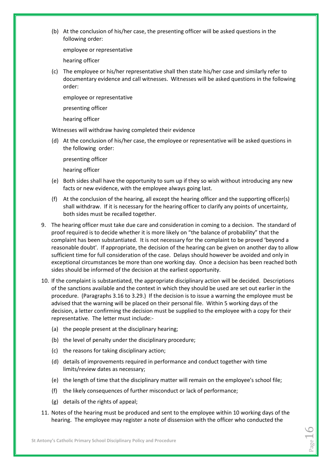(b) At the conclusion of his/her case, the presenting officer will be asked questions in the following order:

employee or representative

hearing officer

(c) The employee or his/her representative shall then state his/her case and similarly refer to documentary evidence and call witnesses. Witnesses will be asked questions in the following order:

employee or representative

presenting officer

hearing officer

Witnesses will withdraw having completed their evidence

(d) At the conclusion of his/her case, the employee or representative will be asked questions in the following order:

presenting officer

hearing officer

- (e) Both sides shall have the opportunity to sum up if they so wish without introducing any new facts or new evidence, with the employee always going last.
- (f) At the conclusion of the hearing, all except the hearing officer and the supporting officer(s) shall withdraw. If it is necessary for the hearing officer to clarify any points of uncertainty, both sides must be recalled together.
- 9. The hearing officer must take due care and consideration in coming to a decision. The standard of proof required is to decide whether it is more likely on "the balance of probability" that the complaint has been substantiated. It is not necessary for the complaint to be proved 'beyond a reasonable doubt'. If appropriate, the decision of the hearing can be given on another day to allow sufficient time for full consideration of the case. Delays should however be avoided and only in exceptional circumstances be more than one working day. Once a decision has been reached both sides should be informed of the decision at the earliest opportunity.
- 10. If the complaint is substantiated, the appropriate disciplinary action will be decided. Descriptions of the sanctions available and the context in which they should be used are set out earlier in the procedure. (Paragraphs 3.16 to 3.29.) If the decision is to issue a warning the employee must be advised that the warning will be placed on their personal file. Within 5 working days of the decision, a letter confirming the decision must be supplied to the employee with a copy for their representative. The letter must include:-
	- (a) the people present at the disciplinary hearing;
	- (b) the level of penalty under the disciplinary procedure;
	- (c) the reasons for taking disciplinary action;
	- (d) details of improvements required in performance and conduct together with time limits/review dates as necessary;
	- (e) the length of time that the disciplinary matter will remain on the employee's school file;
	- (f) the likely consequences of further misconduct or lack of performance;
	- (g) details of the rights of appeal;
- 11. Notes of the hearing must be produced and sent to the employee within 10 working days of the hearing. The employee may register a note of dissension with the officer who conducted the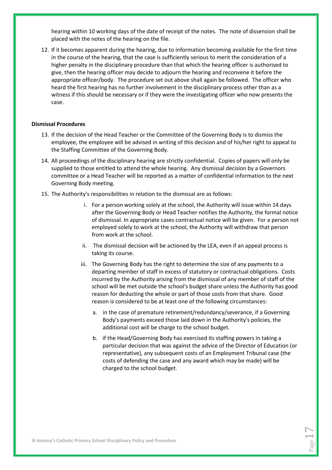hearing within 10 working days of the date of receipt of the notes. The note of dissension shall be placed with the notes of the hearing on the file.

12. If it becomes apparent during the hearing, due to information becoming available for the first time in the course of the hearing, that the case is sufficiently serious to merit the consideration of a higher penalty in the disciplinary procedure than that which the hearing officer is authorised to give, then the hearing officer may decide to adjourn the hearing and reconvene it before the appropriate officer/body. The procedure set out above shall again be followed. The officer who heard the first hearing has no further involvement in the disciplinary process other than as a witness if this should be necessary or if they were the investigating officer who now presents the case.

#### **Dismissal Procedures**

- 13. If the decision of the Head Teacher or the Committee of the Governing Body is to dismiss the employee, the employee will be advised in writing of this decision and of his/her right to appeal to the Staffing Committee of the Governing Body.
- 14. All proceedings of the disciplinary hearing are strictly confidential. Copies of papers will only be supplied to those entitled to attend the whole hearing. Any dismissal decision by a Governors committee or a Head Teacher will be reported as a matter of confidential information to the next Governing Body meeting.
- 15. The Authority's responsibilities in relation to the dismissal are as follows:
	- i. For a person working solely at the school, the Authority will issue within 14 days after the Governing Body or Head Teacher notifies the Authority, the formal notice of dismissal. In appropriate cases contractual notice will be given. For a person not employed solely to work at the school, the Authority will withdraw that person from work at the school.
	- ii. The dismissal decision will be actioned by the LEA, even if an appeal process is taking its course.
	- iii. The Governing Body has the right to determine the size of any payments to a departing member of staff in excess of statutory or contractual obligations. Costs incurred by the Authority arising from the dismissal of any member of staff of the school will be met outside the school's budget share unless the Authority has good reason for deducting the whole or part of those costs from that share. Good reason is considered to be at least one of the following circumstances:
		- a. in the case of premature retirement/redundancy/severance, if a Governing Body's payments exceed those laid down in the Authority's policies, the additional cost will be charge to the school budget.
		- b. if the Head/Governing Body has exercised its staffing powers in taking a particular decision that was against the advice of the Director of Education (or representative), any subsequent costs of an Employment Tribunal case (the costs of defending the case and any award which may be made) will be charged to the school budget.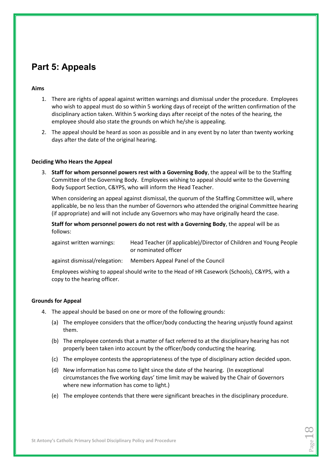### **Part 5: Appeals**

### **Aims**

- 1. There are rights of appeal against written warnings and dismissal under the procedure. Employees who wish to appeal must do so within 5 working days of receipt of the written confirmation of the disciplinary action taken. Within 5 working days after receipt of the notes of the hearing, the employee should also state the grounds on which he/she is appealing.
- 2. The appeal should be heard as soon as possible and in any event by no later than twenty working days after the date of the original hearing.

### **Deciding Who Hears the Appeal**

3. **Staff for whom personnel powers rest with a Governing Body**, the appeal will be to the Staffing Committee of the Governing Body. Employees wishing to appeal should write to the Governing Body Support Section, C&YPS, who will inform the Head Teacher.

When considering an appeal against dismissal, the quorum of the Staffing Committee will, where applicable, be no less than the number of Governors who attended the original Committee hearing (if appropriate) and will not include any Governors who may have originally heard the case.

**Staff for whom personnel powers do not rest with a Governing Body**, the appeal will be as follows:

| against written warnings: | Head Teacher (if applicable)/Director of Children and Young People |
|---------------------------|--------------------------------------------------------------------|
|                           | or nominated officer                                               |

against dismissal/relegation: Members Appeal Panel of the Council

Employees wishing to appeal should write to the Head of HR Casework (Schools), C&YPS, with a copy to the hearing officer.

### **Grounds for Appeal**

- 4. The appeal should be based on one or more of the following grounds:
	- (a) The employee considers that the officer/body conducting the hearing unjustly found against them.
	- (b) The employee contends that a matter of fact referred to at the disciplinary hearing has not properly been taken into account by the officer/body conducting the hearing.
	- (c) The employee contests the appropriateness of the type of disciplinary action decided upon.
	- (d) New information has come to light since the date of the hearing. (In exceptional circumstances the five working days' time limit may be waived by the Chair of Governors where new information has come to light.)
	- (e) The employee contends that there were significant breaches in the disciplinary procedure.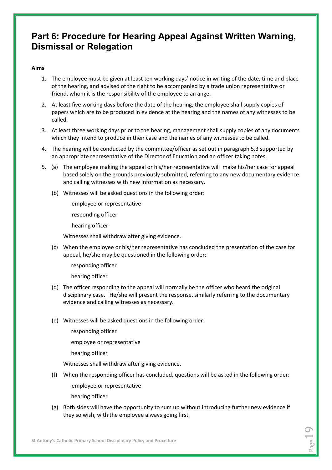### **Part 6: Procedure for Hearing Appeal Against Written Warning, Dismissal or Relegation**

### **Aims**

- 1. The employee must be given at least ten working days' notice in writing of the date, time and place of the hearing, and advised of the right to be accompanied by a trade union representative or friend, whom it is the responsibility of the employee to arrange.
- 2. At least five working days before the date of the hearing, the employee shall supply copies of papers which are to be produced in evidence at the hearing and the names of any witnesses to be called.
- 3. At least three working days prior to the hearing, management shall supply copies of any documents which they intend to produce in their case and the names of any witnesses to be called.
- 4. The hearing will be conducted by the committee/officer as set out in paragraph 5.3 supported by an appropriate representative of the Director of Education and an officer taking notes.
- 5. (a) The employee making the appeal or his/her representative will make his/her case for appeal based solely on the grounds previously submitted, referring to any new documentary evidence and calling witnesses with new information as necessary.
	- (b) Witnesses will be asked questions in the following order:

employee or representative

responding officer

hearing officer

Witnesses shall withdraw after giving evidence.

(c) When the employee or his/her representative has concluded the presentation of the case for appeal, he/she may be questioned in the following order:

responding officer

hearing officer

- (d) The officer responding to the appeal will normally be the officer who heard the original disciplinary case. He/she will present the response, similarly referring to the documentary evidence and calling witnesses as necessary.
- (e) Witnesses will be asked questions in the following order:
	- responding officer

employee or representative

hearing officer

Witnesses shall withdraw after giving evidence.

(f) When the responding officer has concluded, questions will be asked in the following order:

employee or representative

hearing officer

(g) Both sides will have the opportunity to sum up without introducing further new evidence if they so wish, with the employee always going first.